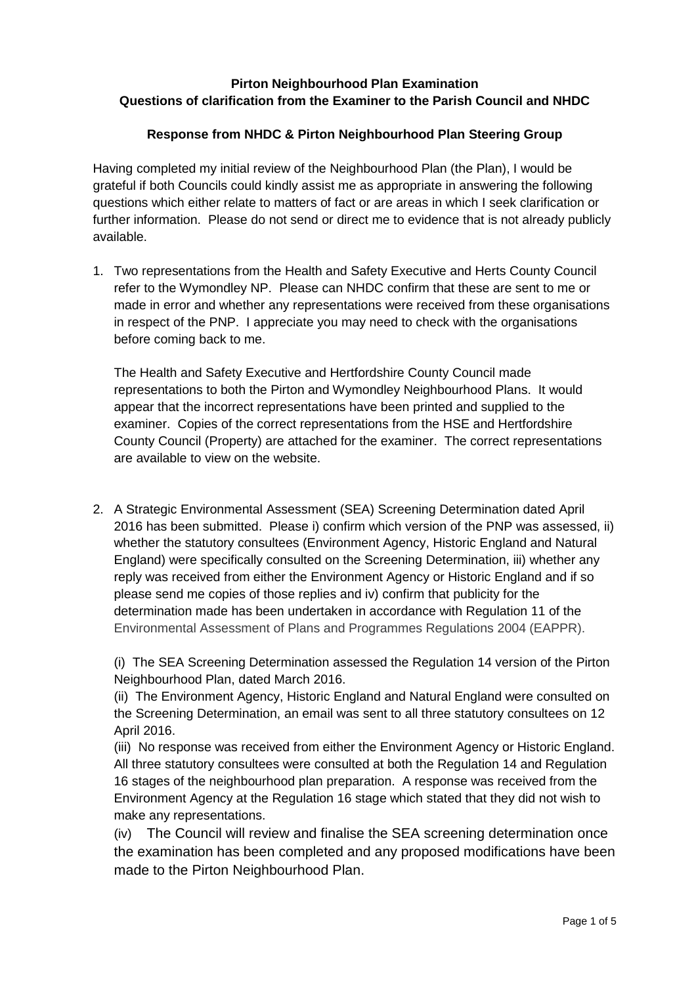## **Pirton Neighbourhood Plan Examination Questions of clarification from the Examiner to the Parish Council and NHDC**

## **Response from NHDC & Pirton Neighbourhood Plan Steering Group**

Having completed my initial review of the Neighbourhood Plan (the Plan), I would be grateful if both Councils could kindly assist me as appropriate in answering the following questions which either relate to matters of fact or are areas in which I seek clarification or further information. Please do not send or direct me to evidence that is not already publicly available.

1. Two representations from the Health and Safety Executive and Herts County Council refer to the Wymondley NP. Please can NHDC confirm that these are sent to me or made in error and whether any representations were received from these organisations in respect of the PNP. I appreciate you may need to check with the organisations before coming back to me.

The Health and Safety Executive and Hertfordshire County Council made representations to both the Pirton and Wymondley Neighbourhood Plans. It would appear that the incorrect representations have been printed and supplied to the examiner. Copies of the correct representations from the HSE and Hertfordshire County Council (Property) are attached for the examiner. The correct representations are available to view on the website.

2. A Strategic Environmental Assessment (SEA) Screening Determination dated April 2016 has been submitted. Please i) confirm which version of the PNP was assessed, ii) whether the statutory consultees (Environment Agency, Historic England and Natural England) were specifically consulted on the Screening Determination, iii) whether any reply was received from either the Environment Agency or Historic England and if so please send me copies of those replies and iv) confirm that publicity for the determination made has been undertaken in accordance with Regulation 11 of the Environmental Assessment of Plans and Programmes Regulations 2004 (EAPPR).

(i) The SEA Screening Determination assessed the Regulation 14 version of the Pirton Neighbourhood Plan, dated March 2016.

(ii) The Environment Agency, Historic England and Natural England were consulted on the Screening Determination, an email was sent to all three statutory consultees on 12 April 2016.

(iii) No response was received from either the Environment Agency or Historic England. All three statutory consultees were consulted at both the Regulation 14 and Regulation 16 stages of the neighbourhood plan preparation. A response was received from the Environment Agency at the Regulation 16 stage which stated that they did not wish to make any representations.

(iv) The Council will review and finalise the SEA screening determination once the examination has been completed and any proposed modifications have been made to the Pirton Neighbourhood Plan.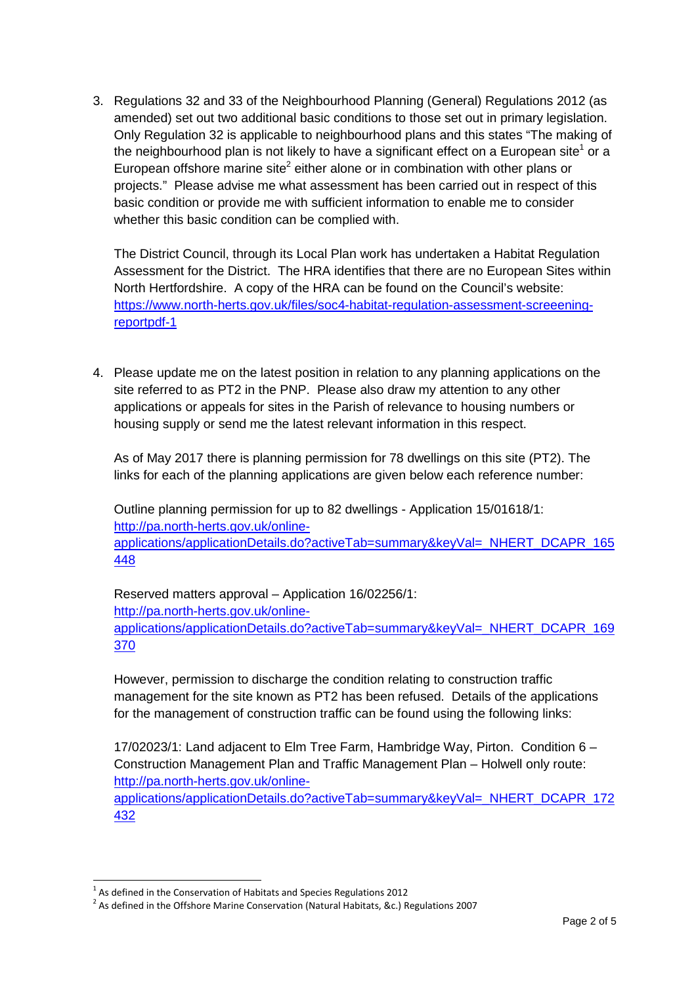3. Regulations 32 and 33 of the Neighbourhood Planning (General) Regulations 2012 (as amended) set out two additional basic conditions to those set out in primary legislation. Only Regulation 32 is applicable to neighbourhood plans and this states "The making of the neighbourhood plan is not likely to have a significant effect on a European site<sup>1</sup> or a European offshore marine site<sup>2</sup> either alone or in combination with other plans or projects." Please advise me what assessment has been carried out in respect of this basic condition or provide me with sufficient information to enable me to consider whether this basic condition can be complied with.

The District Council, through its Local Plan work has undertaken a Habitat Regulation Assessment for the District. The HRA identifies that there are no European Sites within North Hertfordshire. A copy of the HRA can be found on the Council's website: https://www.north-herts.gov.uk/files/soc4-habitat-regulation-assessment-screeeningreportpdf-1

4. Please update me on the latest position in relation to any planning applications on the site referred to as PT2 in the PNP. Please also draw my attention to any other applications or appeals for sites in the Parish of relevance to housing numbers or housing supply or send me the latest relevant information in this respect.

As of May 2017 there is planning permission for 78 dwellings on this site (PT2). The links for each of the planning applications are given below each reference number:

Outline planning permission for up to 82 dwellings - Application 15/01618/1: http://pa.north-herts.gov.uk/onlineapplications/applicationDetails.do?activeTab=summary&keyVal=\_NHERT\_DCAPR\_165 448

Reserved matters approval – Application 16/02256/1: http://pa.north-herts.gov.uk/onlineapplications/applicationDetails.do?activeTab=summary&keyVal=\_NHERT\_DCAPR\_169 370

However, permission to discharge the condition relating to construction traffic management for the site known as PT2 has been refused. Details of the applications for the management of construction traffic can be found using the following links:

17/02023/1: Land adjacent to Elm Tree Farm, Hambridge Way, Pirton. Condition 6 – Construction Management Plan and Traffic Management Plan – Holwell only route: http://pa.north-herts.gov.uk/online-

applications/applicationDetails.do?activeTab=summary&keyVal=\_NHERT\_DCAPR\_172 432

 $\overline{a}$ 

 $<sup>1</sup>$  As defined in the Conservation of Habitats and Species Regulations 2012</sup>

 $^2$  As defined in the Offshore Marine Conservation (Natural Habitats, &c.) Regulations 2007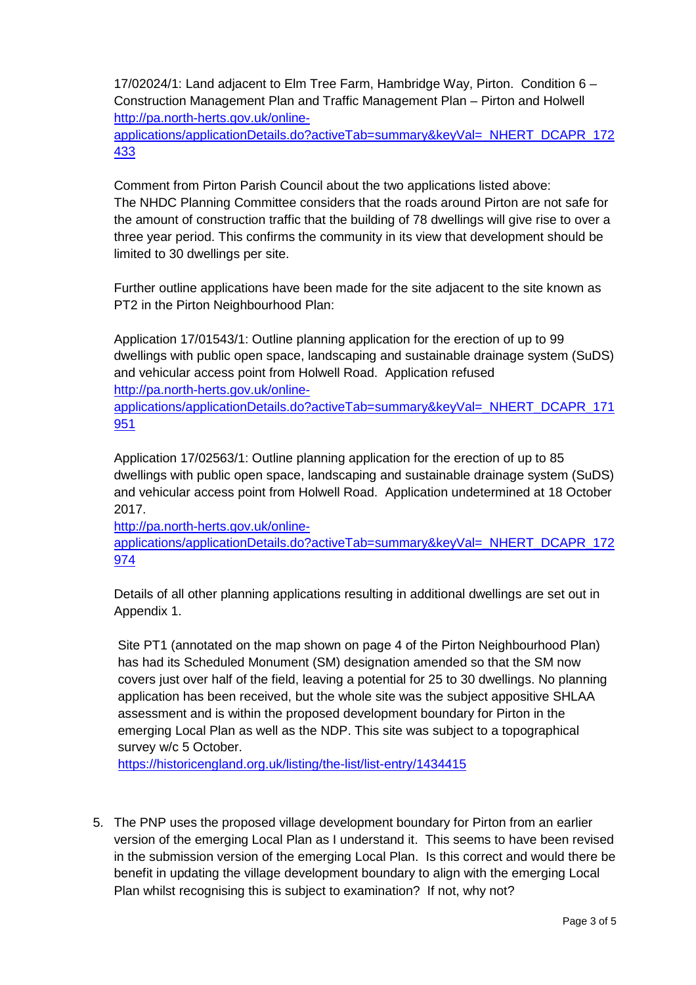17/02024/1: Land adjacent to Elm Tree Farm, Hambridge Way, Pirton. Condition 6 – Construction Management Plan and Traffic Management Plan – Pirton and Holwell http://pa.north-herts.gov.uk/online-

applications/applicationDetails.do?activeTab=summary&keyVal=\_NHERT\_DCAPR\_172 433

Comment from Pirton Parish Council about the two applications listed above: The NHDC Planning Committee considers that the roads around Pirton are not safe for the amount of construction traffic that the building of 78 dwellings will give rise to over a three year period. This confirms the community in its view that development should be limited to 30 dwellings per site.

Further outline applications have been made for the site adjacent to the site known as PT2 in the Pirton Neighbourhood Plan:

Application 17/01543/1: Outline planning application for the erection of up to 99 dwellings with public open space, landscaping and sustainable drainage system (SuDS) and vehicular access point from Holwell Road. Application refused

http://pa.north-herts.gov.uk/online-

applications/applicationDetails.do?activeTab=summary&keyVal=\_NHERT\_DCAPR\_171 951

Application 17/02563/1: Outline planning application for the erection of up to 85 dwellings with public open space, landscaping and sustainable drainage system (SuDS) and vehicular access point from Holwell Road. Application undetermined at 18 October 2017.

http://pa.north-herts.gov.uk/onlineapplications/applicationDetails.do?activeTab=summary&keyVal=\_NHERT\_DCAPR\_172 974

Details of all other planning applications resulting in additional dwellings are set out in Appendix 1.

Site PT1 (annotated on the map shown on page 4 of the Pirton Neighbourhood Plan) has had its Scheduled Monument (SM) designation amended so that the SM now covers just over half of the field, leaving a potential for 25 to 30 dwellings. No planning application has been received, but the whole site was the subject appositive SHLAA assessment and is within the proposed development boundary for Pirton in the emerging Local Plan as well as the NDP. This site was subject to a topographical survey w/c 5 October.

https://historicengland.org.uk/listing/the-list/list-entry/1434415

5. The PNP uses the proposed village development boundary for Pirton from an earlier version of the emerging Local Plan as I understand it. This seems to have been revised in the submission version of the emerging Local Plan. Is this correct and would there be benefit in updating the village development boundary to align with the emerging Local Plan whilst recognising this is subject to examination? If not, why not?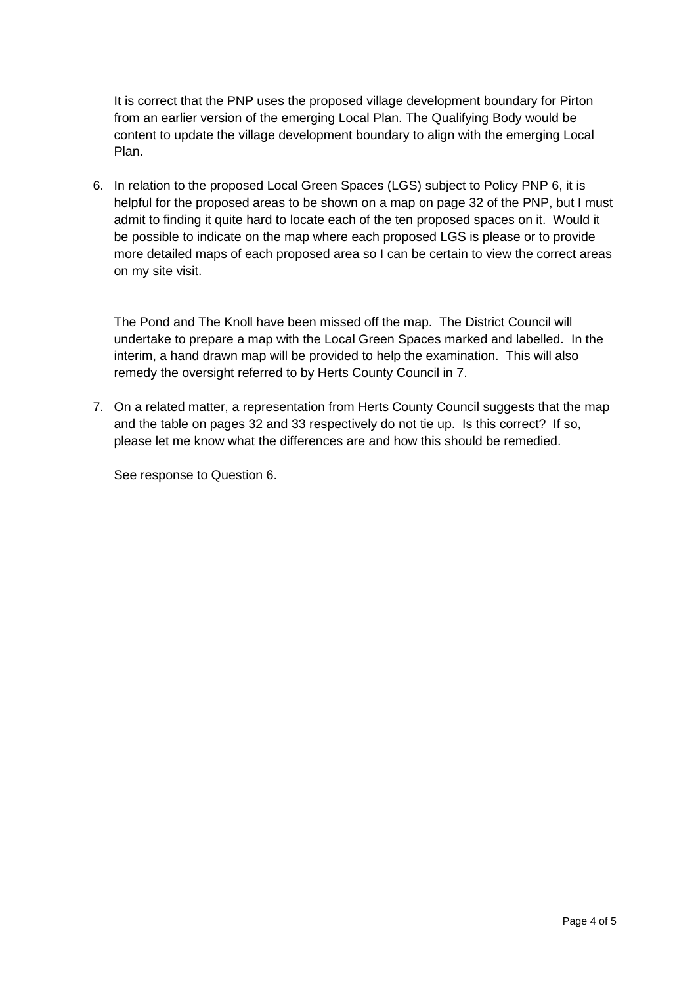It is correct that the PNP uses the proposed village development boundary for Pirton from an earlier version of the emerging Local Plan. The Qualifying Body would be content to update the village development boundary to align with the emerging Local Plan.

6. In relation to the proposed Local Green Spaces (LGS) subject to Policy PNP 6, it is helpful for the proposed areas to be shown on a map on page 32 of the PNP, but I must admit to finding it quite hard to locate each of the ten proposed spaces on it. Would it be possible to indicate on the map where each proposed LGS is please or to provide more detailed maps of each proposed area so I can be certain to view the correct areas on my site visit.

The Pond and The Knoll have been missed off the map. The District Council will undertake to prepare a map with the Local Green Spaces marked and labelled. In the interim, a hand drawn map will be provided to help the examination. This will also remedy the oversight referred to by Herts County Council in 7.

7. On a related matter, a representation from Herts County Council suggests that the map and the table on pages 32 and 33 respectively do not tie up. Is this correct? If so, please let me know what the differences are and how this should be remedied.

See response to Question 6.